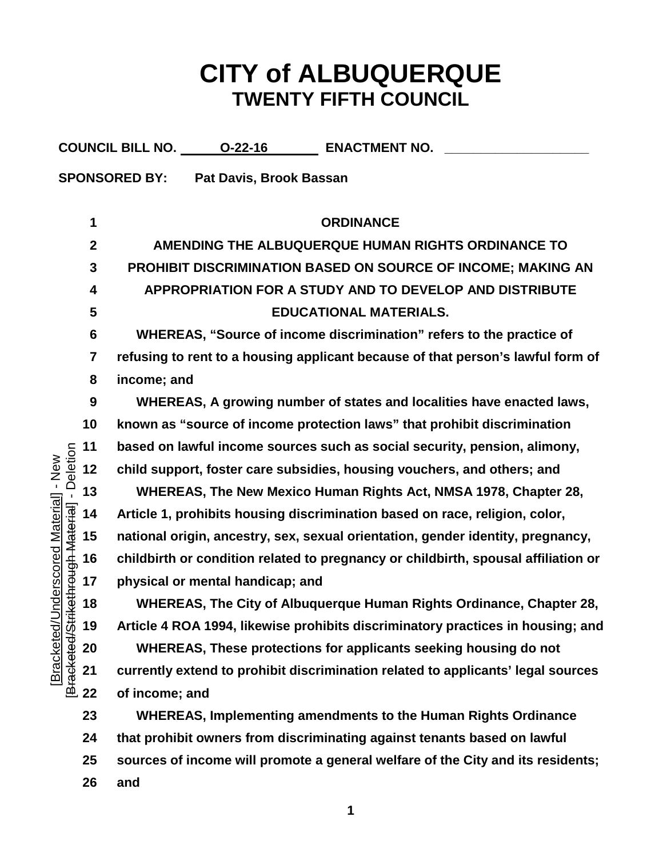## **CITY of ALBUQUERQUE TWENTY FIFTH COUNCIL**

|                                                                  |              | COUNCIL BILL NO. 0-22-16<br><b>ENACTMENT NO.</b>                                   |
|------------------------------------------------------------------|--------------|------------------------------------------------------------------------------------|
|                                                                  |              | <b>SPONSORED BY:</b><br>Pat Davis, Brook Bassan                                    |
|                                                                  |              |                                                                                    |
|                                                                  | 1            | <b>ORDINANCE</b>                                                                   |
|                                                                  | $\mathbf{2}$ | AMENDING THE ALBUQUERQUE HUMAN RIGHTS ORDINANCE TO                                 |
|                                                                  | 3            | PROHIBIT DISCRIMINATION BASED ON SOURCE OF INCOME; MAKING AN                       |
|                                                                  | 4            | APPROPRIATION FOR A STUDY AND TO DEVELOP AND DISTRIBUTE                            |
|                                                                  | 5            | <b>EDUCATIONAL MATERIALS.</b>                                                      |
|                                                                  | 6            | WHEREAS, "Source of income discrimination" refers to the practice of               |
|                                                                  | 7            | refusing to rent to a housing applicant because of that person's lawful form of    |
|                                                                  | 8            | income; and                                                                        |
|                                                                  | 9            | WHEREAS, A growing number of states and localities have enacted laws,              |
|                                                                  | 10           | known as "source of income protection laws" that prohibit discrimination           |
|                                                                  | 11           | based on lawful income sources such as social security, pension, alimony,          |
| - Deletion                                                       | 12           | child support, foster care subsidies, housing vouchers, and others; and            |
|                                                                  | 13           | WHEREAS, The New Mexico Human Rights Act, NMSA 1978, Chapter 28,                   |
|                                                                  | 14           | Article 1, prohibits housing discrimination based on race, religion, color,        |
|                                                                  | 15           | national origin, ancestry, sex, sexual orientation, gender identity, pregnancy,    |
|                                                                  | 16           | childbirth or condition related to pregnancy or childbirth, spousal affiliation or |
|                                                                  | 17           | physical or mental handicap; and                                                   |
| Jnderscored Material] - New<br>i <del>kethrough Material</del> ] | 18           | WHEREAS, The City of Albuquerque Human Rights Ordinance, Chapter 28,               |
| Bracketed/Str<br>[Bracketed/l                                    | 19           | Article 4 ROA 1994, likewise prohibits discriminatory practices in housing; and    |
|                                                                  | 20           | WHEREAS, These protections for applicants seeking housing do not                   |
|                                                                  | 21           | currently extend to prohibit discrimination related to applicants' legal sources   |
|                                                                  | 22           | of income; and                                                                     |
|                                                                  | 23           | <b>WHEREAS, Implementing amendments to the Human Rights Ordinance</b>              |
|                                                                  | 24           | that prohibit owners from discriminating against tenants based on lawful           |
|                                                                  | 25           | sources of income will promote a general welfare of the City and its residents;    |
|                                                                  | 26           | and                                                                                |
|                                                                  |              |                                                                                    |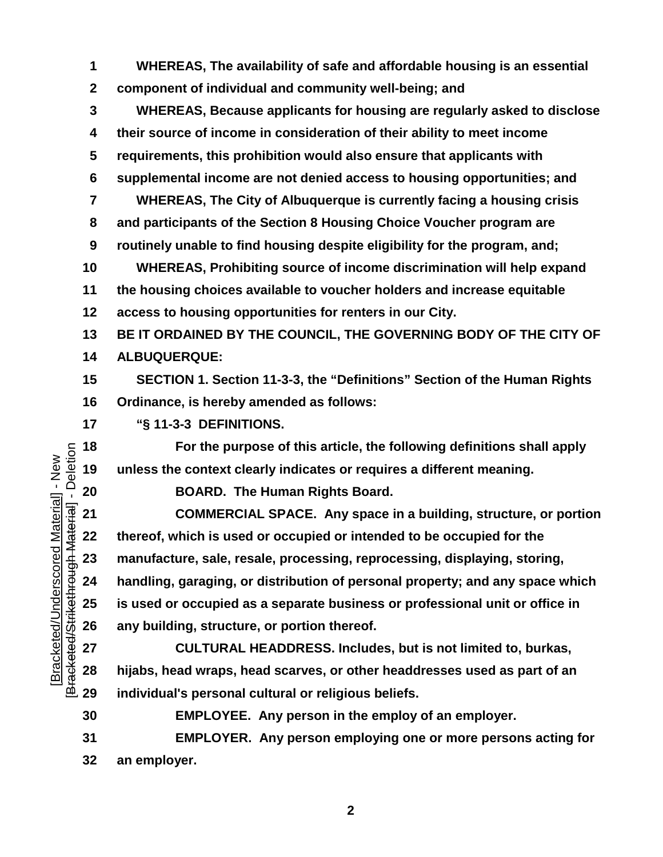**WHEREAS, The availability of safe and affordable housing is an essential component of individual and community well-being; and**

 **WHEREAS, Because applicants for housing are regularly asked to disclose their source of income in consideration of their ability to meet income requirements, this prohibition would also ensure that applicants with supplemental income are not denied access to housing opportunities; and WHEREAS, The City of Albuquerque is currently facing a housing crisis and participants of the Section 8 Housing Choice Voucher program are routinely unable to find housing despite eligibility for the program, and; WHEREAS, Prohibiting source of income discrimination will help expand the housing choices available to voucher holders and increase equitable access to housing opportunities for renters in our City. BE IT ORDAINED BY THE COUNCIL, THE GOVERNING BODY OF THE CITY OF** 

**ALBUQUERQUE:** 

 **SECTION 1. Section 11-3-3, the "Definitions" Section of the Human Rights Ordinance, is hereby amended as follows:**

**"§ 11-3-3 DEFINITIONS.**

 **For the purpose of this article, the following definitions shall apply unless the context clearly indicates or requires a different meaning.**

**BOARD. The Human Rights Board.**

 **COMMERCIAL SPACE. Any space in a building, structure, or portion thereof, which is used or occupied or intended to be occupied for the manufacture, sale, resale, processing, reprocessing, displaying, storing, handling, garaging, or distribution of personal property; and any space which is used or occupied as a separate business or professional unit or office in any building, structure, or portion thereof.**

 **CULTURAL HEADDRESS. Includes, but is not limited to, burkas, hijabs, head wraps, head scarves, or other headdresses used as part of an individual's personal cultural or religious beliefs.**

**EMPLOYEE. Any person in the employ of an employer.**

 **EMPLOYER. Any person employing one or more persons acting for an employer.**

Bracketed/Strikethrough Material] - Deletion [Bracketed/Strikethrough Material] - Deletion Bracketed/Underscored Material] - New [Bracketed/Underscored Material] - New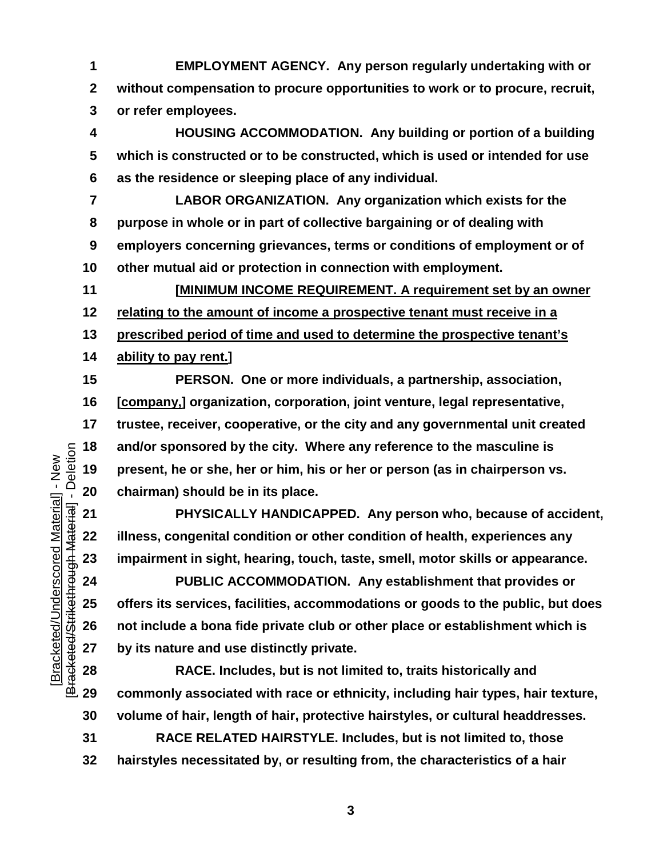**EMPLOYMENT AGENCY. Any person regularly undertaking with or without compensation to procure opportunities to work or to procure, recruit, or refer employees.**

 **HOUSING ACCOMMODATION. Any building or portion of a building which is constructed or to be constructed, which is used or intended for use as the residence or sleeping place of any individual.**

 **LABOR ORGANIZATION. Any organization which exists for the purpose in whole or in part of collective bargaining or of dealing with employers concerning grievances, terms or conditions of employment or of other mutual aid or protection in connection with employment.**

 **[MINIMUM INCOME REQUIREMENT. A requirement set by an owner relating to the amount of income a prospective tenant must receive in a prescribed period of time and used to determine the prospective tenant's ability to pay rent.]**

 **PERSON. One or more individuals, a partnership, association, [company,] organization, corporation, joint venture, legal representative, trustee, receiver, cooperative, or the city and any governmental unit created and/or sponsored by the city. Where any reference to the masculine is present, he or she, her or him, his or her or person (as in chairperson vs. chairman) should be in its place.**

 **PHYSICALLY HANDICAPPED. Any person who, because of accident, illness, congenital condition or other condition of health, experiences any impairment in sight, hearing, touch, taste, smell, motor skills or appearance.**

 **PUBLIC ACCOMMODATION. Any establishment that provides or offers its services, facilities, accommodations or goods to the public, but does not include a bona fide private club or other place or establishment which is by its nature and use distinctly private.**

 **RACE. Includes, but is not limited to, traits historically and commonly associated with race or ethnicity, including hair types, hair texture, volume of hair, length of hair, protective hairstyles, or cultural headdresses.**

 **RACE RELATED HAIRSTYLE. Includes, but is not limited to, those hairstyles necessitated by, or resulting from, the characteristics of a hair** 

Bracketed/Strikethrough Material] - Deletion [Bracketed/Strikethrough Material] - Deletion Bracketed/Underscored Material] - New [Bracketed/Underscored Material] - New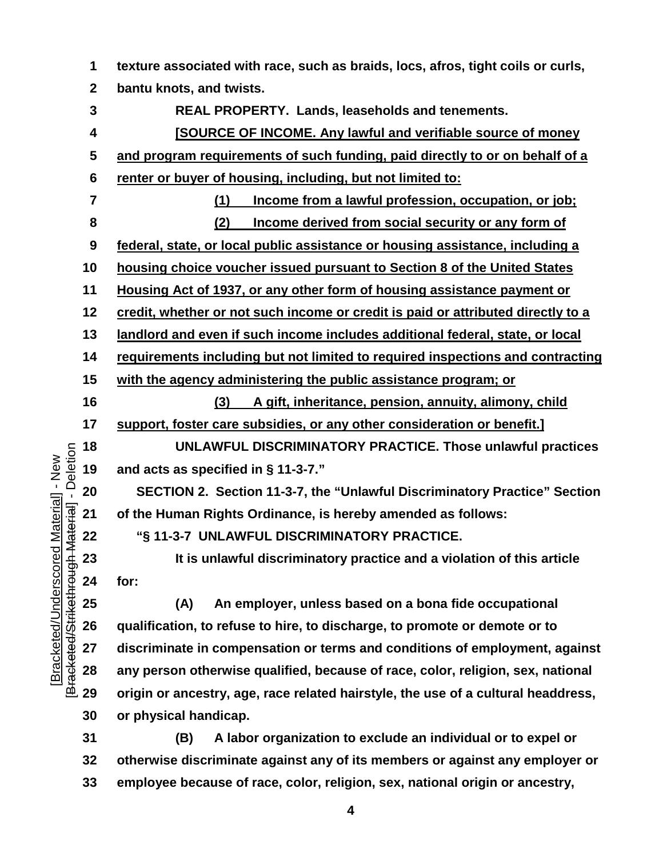**texture associated with race, such as braids, locs, afros, tight coils or curls, bantu knots, and twists. REAL PROPERTY. Lands, leaseholds and tenements. [SOURCE OF INCOME. Any lawful and verifiable source of money and program requirements of such funding, paid directly to or on behalf of a renter or buyer of housing, including, but not limited to: (1) Income from a lawful profession, occupation, or job; (2) Income derived from social security or any form of federal, state, or local public assistance or housing assistance, including a housing choice voucher issued pursuant to Section 8 of the United States Housing Act of 1937, or any other form of housing assistance payment or credit, whether or not such income or credit is paid or attributed directly to a landlord and even if such income includes additional federal, state, or local requirements including but not limited to required inspections and contracting with the agency administering the public assistance program; or (3) A gift, inheritance, pension, annuity, alimony, child support, foster care subsidies, or any other consideration or benefit.] UNLAWFUL DISCRIMINATORY PRACTICE. Those unlawful practices and acts as specified in § 11-3-7." SECTION 2. Section 11-3-7, the "Unlawful Discriminatory Practice" Section of the Human Rights Ordinance, is hereby amended as follows: "§ 11-3-7 UNLAWFUL DISCRIMINATORY PRACTICE. It is unlawful discriminatory practice and a violation of this article for: (A) An employer, unless based on a bona fide occupational qualification, to refuse to hire, to discharge, to promote or demote or to discriminate in compensation or terms and conditions of employment, against any person otherwise qualified, because of race, color, religion, sex, national** 

 **origin or ancestry, age, race related hairstyle, the use of a cultural headdress, or physical handicap.**

[Bracketed/Underscored Material] - New [Bracketed/Strikethrough Material] - Deletion

Bracketed/Strikethrough Material] - Deletion Bracketed/Underscored Material] - New

> **(B) A labor organization to exclude an individual or to expel or otherwise discriminate against any of its members or against any employer or employee because of race, color, religion, sex, national origin or ancestry,**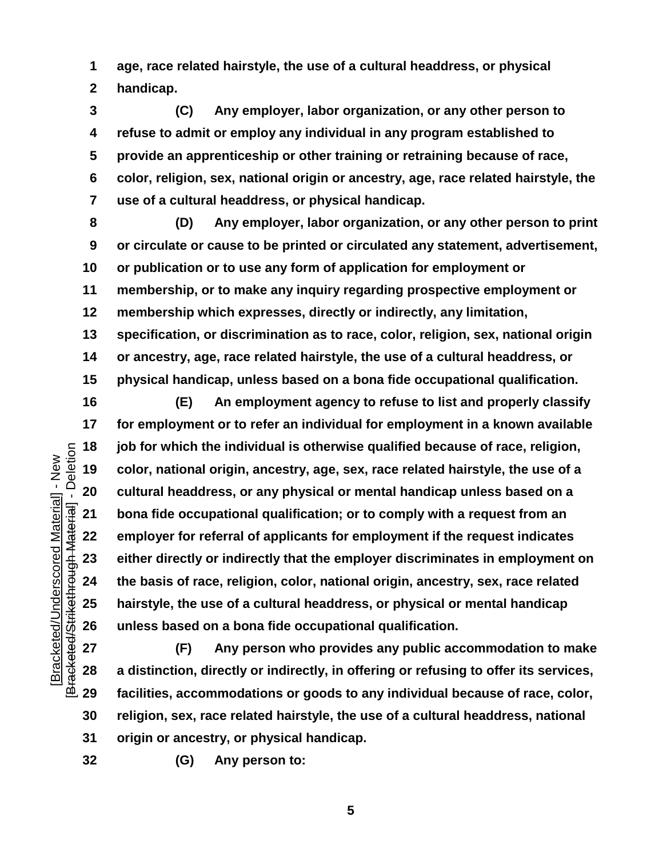**age, race related hairstyle, the use of a cultural headdress, or physical handicap.**

 **(C) Any employer, labor organization, or any other person to refuse to admit or employ any individual in any program established to provide an apprenticeship or other training or retraining because of race, color, religion, sex, national origin or ancestry, age, race related hairstyle, the use of a cultural headdress, or physical handicap.**

 **(D) Any employer, labor organization, or any other person to print or circulate or cause to be printed or circulated any statement, advertisement, or publication or to use any form of application for employment or membership, or to make any inquiry regarding prospective employment or membership which expresses, directly or indirectly, any limitation, specification, or discrimination as to race, color, religion, sex, national origin or ancestry, age, race related hairstyle, the use of a cultural headdress, or physical handicap, unless based on a bona fide occupational qualification.**

 **(E) An employment agency to refuse to list and properly classify for employment or to refer an individual for employment in a known available job for which the individual is otherwise qualified because of race, religion, color, national origin, ancestry, age, sex, race related hairstyle, the use of a cultural headdress, or any physical or mental handicap unless based on a bona fide occupational qualification; or to comply with a request from an employer for referral of applicants for employment if the request indicates either directly or indirectly that the employer discriminates in employment on the basis of race, religion, color, national origin, ancestry, sex, race related hairstyle, the use of a cultural headdress, or physical or mental handicap unless based on a bona fide occupational qualification.**

 **(F) Any person who provides any public accommodation to make a distinction, directly or indirectly, in offering or refusing to offer its services, facilities, accommodations or goods to any individual because of race, color, religion, sex, race related hairstyle, the use of a cultural headdress, national origin or ancestry, or physical handicap.**

[Bracketed/Underscored Material] - New [Bracketed/Strikethrough Material] - Deletion

Bracketed/Strikethrough Material] - Deletion Bracketed/Underscored Material] - New

**(G) Any person to:**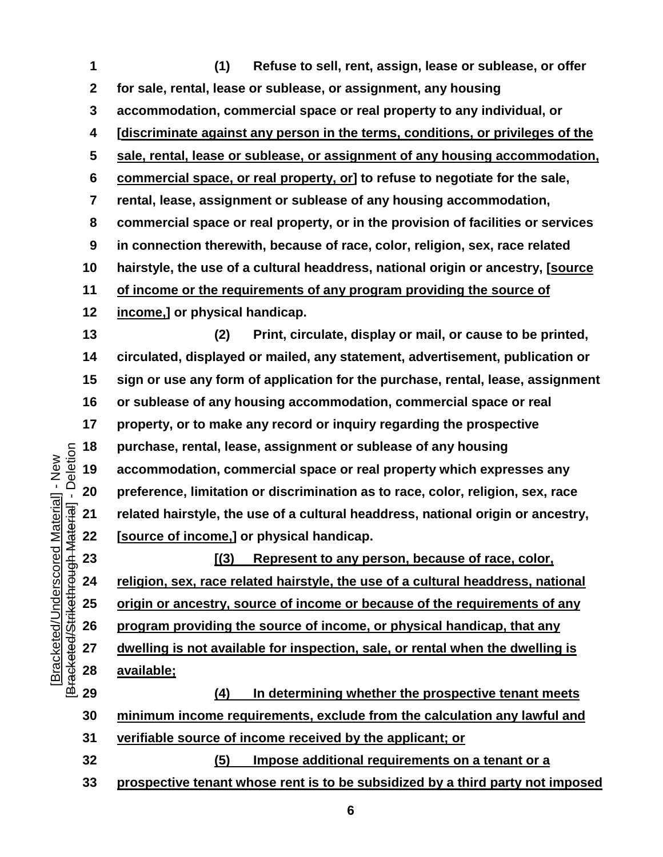**(1) Refuse to sell, rent, assign, lease or sublease, or offer for sale, rental, lease or sublease, or assignment, any housing accommodation, commercial space or real property to any individual, or [discriminate against any person in the terms, conditions, or privileges of the sale, rental, lease or sublease, or assignment of any housing accommodation, commercial space, or real property, or] to refuse to negotiate for the sale, rental, lease, assignment or sublease of any housing accommodation, commercial space or real property, or in the provision of facilities or services in connection therewith, because of race, color, religion, sex, race related hairstyle, the use of a cultural headdress, national origin or ancestry, [source of income or the requirements of any program providing the source of income,] or physical handicap.**

 **(2) Print, circulate, display or mail, or cause to be printed, circulated, displayed or mailed, any statement, advertisement, publication or sign or use any form of application for the purchase, rental, lease, assignment or sublease of any housing accommodation, commercial space or real property, or to make any record or inquiry regarding the prospective purchase, rental, lease, assignment or sublease of any housing accommodation, commercial space or real property which expresses any preference, limitation or discrimination as to race, color, religion, sex, race related hairstyle, the use of a cultural headdress, national origin or ancestry, [source of income,] or physical handicap.**

 **[(3) Represent to any person, because of race, color, religion, sex, race related hairstyle, the use of a cultural headdress, national origin or ancestry, source of income or because of the requirements of any program providing the source of income, or physical handicap, that any dwelling is not available for inspection, sale, or rental when the dwelling is available;** 

 **(4) In determining whether the prospective tenant meets minimum income requirements, exclude from the calculation any lawful and verifiable source of income received by the applicant; or (5) Impose additional requirements on a tenant or a** 

**prospective tenant whose rent is to be subsidized by a third party not imposed**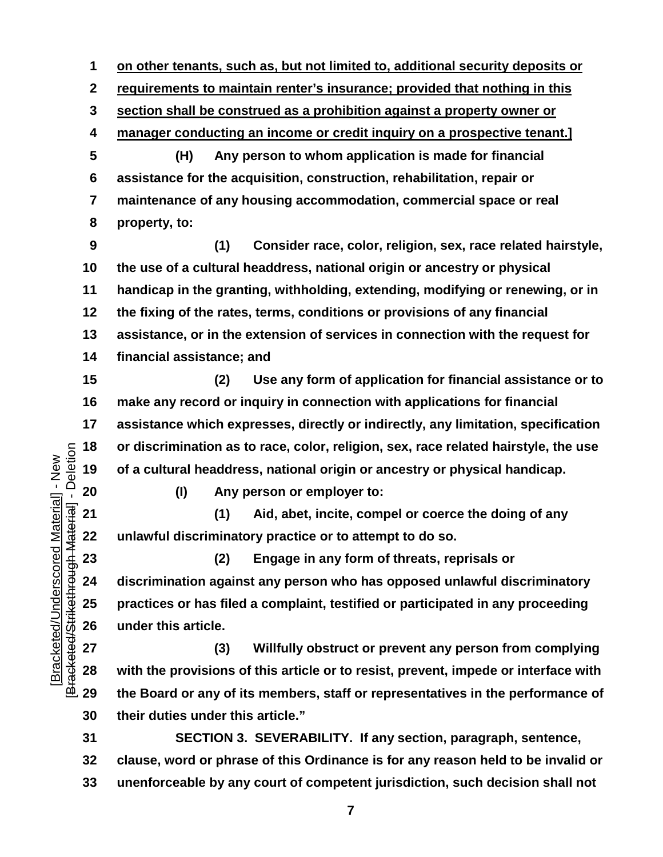**on other tenants, such as, but not limited to, additional security deposits or** 

**requirements to maintain renter's insurance; provided that nothing in this** 

**section shall be construed as a prohibition against a property owner or** 

**manager conducting an income or credit inquiry on a prospective tenant.]**

 **(H) Any person to whom application is made for financial assistance for the acquisition, construction, rehabilitation, repair or maintenance of any housing accommodation, commercial space or real property, to:**

 **(1) Consider race, color, religion, sex, race related hairstyle, the use of a cultural headdress, national origin or ancestry or physical handicap in the granting, withholding, extending, modifying or renewing, or in the fixing of the rates, terms, conditions or provisions of any financial assistance, or in the extension of services in connection with the request for financial assistance; and**

 **(2) Use any form of application for financial assistance or to make any record or inquiry in connection with applications for financial assistance which expresses, directly or indirectly, any limitation, specification or discrimination as to race, color, religion, sex, race related hairstyle, the use of a cultural headdress, national origin or ancestry or physical handicap.**

Bracketed/Strikethrough Material] - Deletion [Bracketed/Strikethrough Material] - Deletion Bracketed/Underscored Material] - New [Bracketed/Underscored Material] - New

**(I) Any person or employer to:**

 **(1) Aid, abet, incite, compel or coerce the doing of any unlawful discriminatory practice or to attempt to do so.**

 **(2) Engage in any form of threats, reprisals or discrimination against any person who has opposed unlawful discriminatory practices or has filed a complaint, testified or participated in any proceeding under this article.**

 **(3) Willfully obstruct or prevent any person from complying with the provisions of this article or to resist, prevent, impede or interface with the Board or any of its members, staff or representatives in the performance of their duties under this article."**

 **SECTION 3. SEVERABILITY. If any section, paragraph, sentence, clause, word or phrase of this Ordinance is for any reason held to be invalid or unenforceable by any court of competent jurisdiction, such decision shall not**